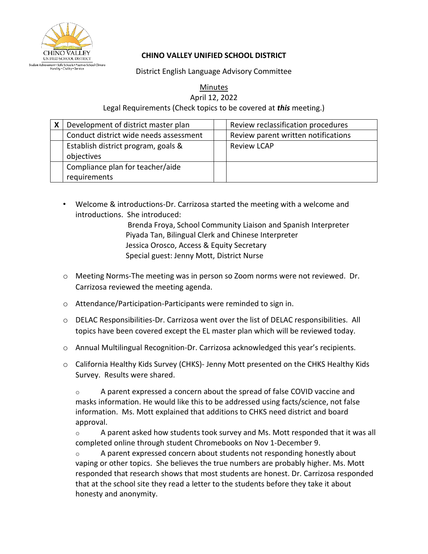

## **CHINO VALLEY UNIFIED SCHOOL DISTRICT**

District English Language Advisory Committee

Minutes

April 12, 2022

Legal Requirements (Check topics to be covered at *this* meeting.)

| X | Development of district master plan               | Review reclassification procedures  |
|---|---------------------------------------------------|-------------------------------------|
|   | Conduct district wide needs assessment            | Review parent written notifications |
|   | Establish district program, goals &<br>objectives | <b>Review LCAP</b>                  |
|   | Compliance plan for teacher/aide<br>requirements  |                                     |

• Welcome & introductions-Dr. Carrizosa started the meeting with a welcome and introductions. She introduced:

> Brenda Froya, School Community Liaison and Spanish Interpreter Piyada Tan, Bilingual Clerk and Chinese Interpreter Jessica Orosco, Access & Equity Secretary Special guest: Jenny Mott, District Nurse

- o Meeting Norms-The meeting was in person so Zoom norms were not reviewed. Dr. Carrizosa reviewed the meeting agenda.
- o Attendance/Participation-Participants were reminded to sign in.
- $\circ$  DELAC Responsibilities-Dr. Carrizosa went over the list of DELAC responsibilities. All topics have been covered except the EL master plan which will be reviewed today.
- o Annual Multilingual Recognition-Dr. Carrizosa acknowledged this year's recipients.
- o California Healthy Kids Survey (CHKS)- Jenny Mott presented on the CHKS Healthy Kids Survey. Results were shared.

 $\circ$  A parent expressed a concern about the spread of false COVID vaccine and masks information. He would like this to be addressed using facts/science, not false information. Ms. Mott explained that additions to CHKS need district and board approval.

 $\circ$  A parent asked how students took survey and Ms. Mott responded that it was all completed online through student Chromebooks on Nov 1-December 9.

 $\circ$  A parent expressed concern about students not responding honestly about vaping or other topics. She believes the true numbers are probably higher. Ms. Mott responded that research shows that most students are honest. Dr. Carrizosa responded that at the school site they read a letter to the students before they take it about honesty and anonymity.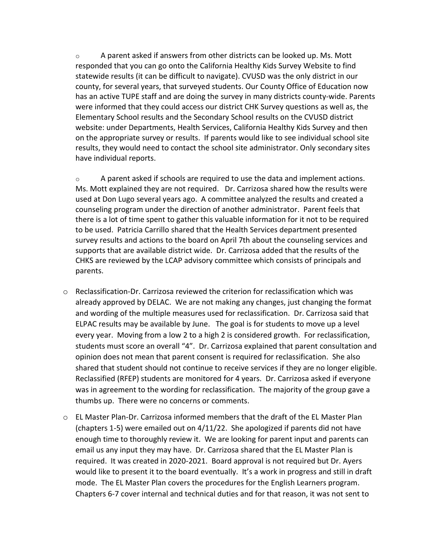$\circ$  A parent asked if answers from other districts can be looked up. Ms. Mott responded that you can go onto the California Healthy Kids Survey Website to find statewide results (it can be difficult to navigate). CVUSD was the only district in our county, for several years, that surveyed students. Our County Office of Education now has an active TUPE staff and are doing the survey in many districts county-wide. Parents were informed that they could access our district CHK Survey questions as well as, the Elementary School results and the Secondary School results on the CVUSD district website: under Departments, Health Services, California Healthy Kids Survey and then on the appropriate survey or results. If parents would like to see individual school site results, they would need to contact the school site administrator. Only secondary sites have individual reports.

 $\circ$  A parent asked if schools are required to use the data and implement actions. Ms. Mott explained they are not required. Dr. Carrizosa shared how the results were used at Don Lugo several years ago. A committee analyzed the results and created a counseling program under the direction of another administrator. Parent feels that there is a lot of time spent to gather this valuable information for it not to be required to be used. Patricia Carrillo shared that the Health Services department presented survey results and actions to the board on April 7th about the counseling services and supports that are available district wide. Dr. Carrizosa added that the results of the CHKS are reviewed by the LCAP advisory committee which consists of principals and parents.

- $\circ$  Reclassification-Dr. Carrizosa reviewed the criterion for reclassification which was already approved by DELAC. We are not making any changes, just changing the format and wording of the multiple measures used for reclassification. Dr. Carrizosa said that ELPAC results may be available by June. The goal is for students to move up a level every year. Moving from a low 2 to a high 2 is considered growth. For reclassification, students must score an overall "4". Dr. Carrizosa explained that parent consultation and opinion does not mean that parent consent is required for reclassification. She also shared that student should not continue to receive services if they are no longer eligible. Reclassified (RFEP) students are monitored for 4 years. Dr. Carrizosa asked if everyone was in agreement to the wording for reclassification. The majority of the group gave a thumbs up. There were no concerns or comments.
- $\circ$  EL Master Plan-Dr. Carrizosa informed members that the draft of the EL Master Plan (chapters 1-5) were emailed out on 4/11/22. She apologized if parents did not have enough time to thoroughly review it. We are looking for parent input and parents can email us any input they may have. Dr. Carrizosa shared that the EL Master Plan is required. It was created in 2020-2021. Board approval is not required but Dr. Ayers would like to present it to the board eventually. It's a work in progress and still in draft mode. The EL Master Plan covers the procedures for the English Learners program. Chapters 6-7 cover internal and technical duties and for that reason, it was not sent to